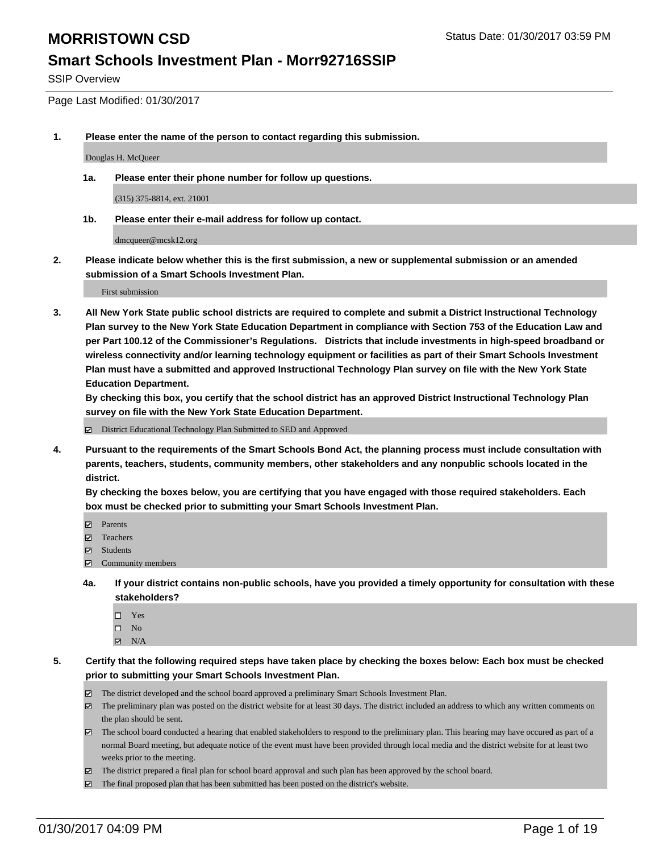SSIP Overview

Page Last Modified: 01/30/2017

**1. Please enter the name of the person to contact regarding this submission.**

Douglas H. McQueer

**1a. Please enter their phone number for follow up questions.**

(315) 375-8814, ext. 21001

**1b. Please enter their e-mail address for follow up contact.**

dmcqueer@mcsk12.org

**2. Please indicate below whether this is the first submission, a new or supplemental submission or an amended submission of a Smart Schools Investment Plan.**

First submission

**3. All New York State public school districts are required to complete and submit a District Instructional Technology Plan survey to the New York State Education Department in compliance with Section 753 of the Education Law and per Part 100.12 of the Commissioner's Regulations. Districts that include investments in high-speed broadband or wireless connectivity and/or learning technology equipment or facilities as part of their Smart Schools Investment Plan must have a submitted and approved Instructional Technology Plan survey on file with the New York State Education Department.** 

**By checking this box, you certify that the school district has an approved District Instructional Technology Plan survey on file with the New York State Education Department.**

District Educational Technology Plan Submitted to SED and Approved

**4. Pursuant to the requirements of the Smart Schools Bond Act, the planning process must include consultation with parents, teachers, students, community members, other stakeholders and any nonpublic schools located in the district.** 

**By checking the boxes below, you are certifying that you have engaged with those required stakeholders. Each box must be checked prior to submitting your Smart Schools Investment Plan.**

- **Parents**
- Teachers
- **冈** Students
- Community members
- **4a. If your district contains non-public schools, have you provided a timely opportunity for consultation with these stakeholders?**
	- □ Yes
	- $\square$  No
	- $\boxtimes$  N/A
- **5. Certify that the following required steps have taken place by checking the boxes below: Each box must be checked prior to submitting your Smart Schools Investment Plan.**
	- The district developed and the school board approved a preliminary Smart Schools Investment Plan.
	- The preliminary plan was posted on the district website for at least 30 days. The district included an address to which any written comments on the plan should be sent.
	- The school board conducted a hearing that enabled stakeholders to respond to the preliminary plan. This hearing may have occured as part of a normal Board meeting, but adequate notice of the event must have been provided through local media and the district website for at least two weeks prior to the meeting.
	- The district prepared a final plan for school board approval and such plan has been approved by the school board.
	- $\boxtimes$  The final proposed plan that has been submitted has been posted on the district's website.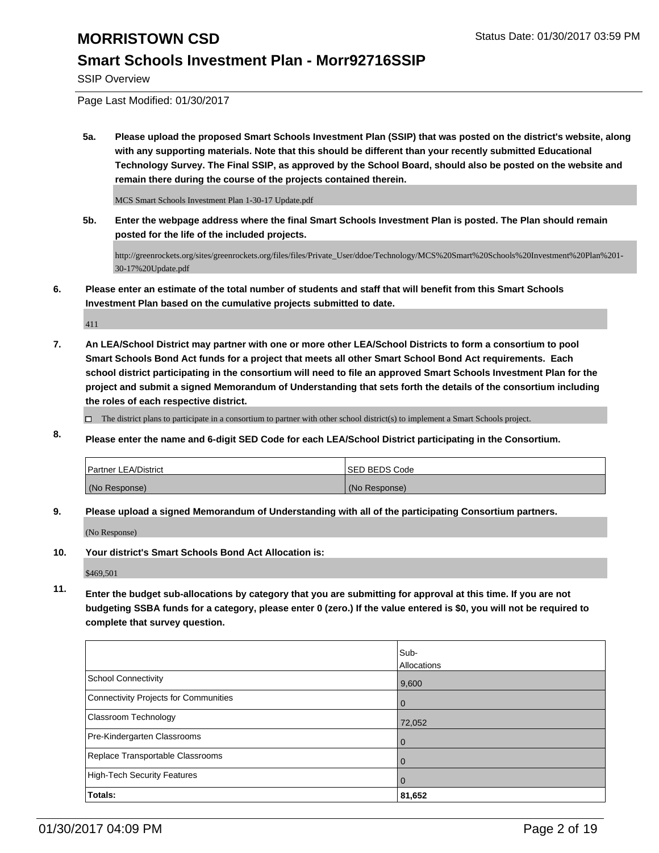#### **Smart Schools Investment Plan - Morr92716SSIP**

SSIP Overview

Page Last Modified: 01/30/2017

**5a. Please upload the proposed Smart Schools Investment Plan (SSIP) that was posted on the district's website, along with any supporting materials. Note that this should be different than your recently submitted Educational Technology Survey. The Final SSIP, as approved by the School Board, should also be posted on the website and remain there during the course of the projects contained therein.**

MCS Smart Schools Investment Plan 1-30-17 Update.pdf

**5b. Enter the webpage address where the final Smart Schools Investment Plan is posted. The Plan should remain posted for the life of the included projects.**

http://greenrockets.org/sites/greenrockets.org/files/files/Private\_User/ddoe/Technology/MCS%20Smart%20Schools%20Investment%20Plan%201- 30-17%20Update.pdf

**6. Please enter an estimate of the total number of students and staff that will benefit from this Smart Schools Investment Plan based on the cumulative projects submitted to date.**

411

**7. An LEA/School District may partner with one or more other LEA/School Districts to form a consortium to pool Smart Schools Bond Act funds for a project that meets all other Smart School Bond Act requirements. Each school district participating in the consortium will need to file an approved Smart Schools Investment Plan for the project and submit a signed Memorandum of Understanding that sets forth the details of the consortium including the roles of each respective district.**

 $\Box$  The district plans to participate in a consortium to partner with other school district(s) to implement a Smart Schools project.

**8. Please enter the name and 6-digit SED Code for each LEA/School District participating in the Consortium.**

| <b>Partner LEA/District</b> | ISED BEDS Code |
|-----------------------------|----------------|
| (No Response)               | (No Response)  |

**9. Please upload a signed Memorandum of Understanding with all of the participating Consortium partners.**

(No Response)

**10. Your district's Smart Schools Bond Act Allocation is:**

\$469,501

**11. Enter the budget sub-allocations by category that you are submitting for approval at this time. If you are not budgeting SSBA funds for a category, please enter 0 (zero.) If the value entered is \$0, you will not be required to complete that survey question.**

|                                       | Sub-        |
|---------------------------------------|-------------|
|                                       | Allocations |
| <b>School Connectivity</b>            | 9,600       |
| Connectivity Projects for Communities | 0           |
| <b>Classroom Technology</b>           | 72,052      |
| Pre-Kindergarten Classrooms           | $\Omega$    |
| Replace Transportable Classrooms      | 0           |
| High-Tech Security Features           | 0           |
| Totals:                               | 81,652      |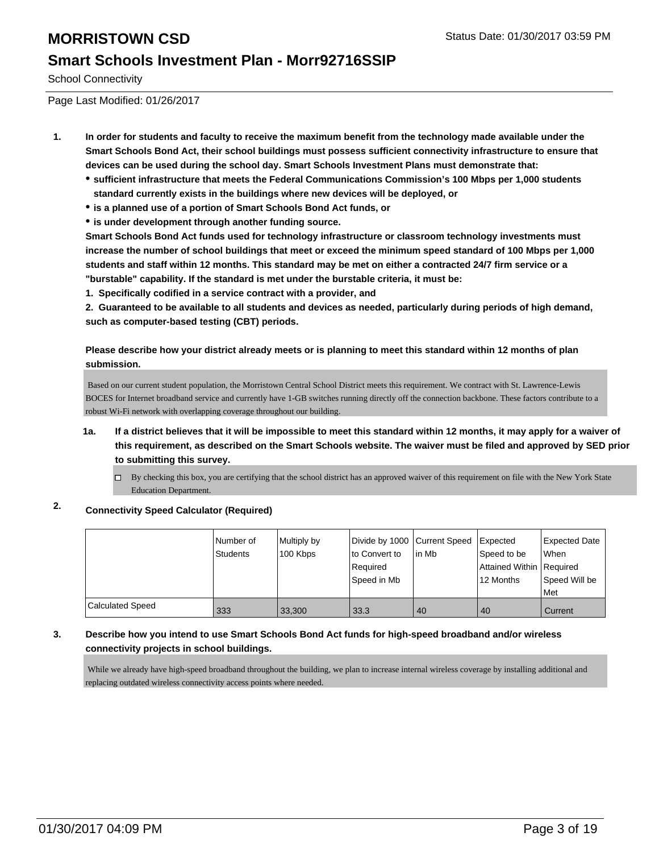School Connectivity

Page Last Modified: 01/26/2017

- **1. In order for students and faculty to receive the maximum benefit from the technology made available under the Smart Schools Bond Act, their school buildings must possess sufficient connectivity infrastructure to ensure that devices can be used during the school day. Smart Schools Investment Plans must demonstrate that:**
	- **sufficient infrastructure that meets the Federal Communications Commission's 100 Mbps per 1,000 students standard currently exists in the buildings where new devices will be deployed, or**
	- **is a planned use of a portion of Smart Schools Bond Act funds, or**
	- **is under development through another funding source.**

**Smart Schools Bond Act funds used for technology infrastructure or classroom technology investments must increase the number of school buildings that meet or exceed the minimum speed standard of 100 Mbps per 1,000 students and staff within 12 months. This standard may be met on either a contracted 24/7 firm service or a "burstable" capability. If the standard is met under the burstable criteria, it must be:**

**1. Specifically codified in a service contract with a provider, and**

**2. Guaranteed to be available to all students and devices as needed, particularly during periods of high demand, such as computer-based testing (CBT) periods.**

**Please describe how your district already meets or is planning to meet this standard within 12 months of plan submission.**

 Based on our current student population, the Morristown Central School District meets this requirement. We contract with St. Lawrence-Lewis BOCES for Internet broadband service and currently have 1-GB switches running directly off the connection backbone. These factors contribute to a robust Wi-Fi network with overlapping coverage throughout our building.

- **1a. If a district believes that it will be impossible to meet this standard within 12 months, it may apply for a waiver of this requirement, as described on the Smart Schools website. The waiver must be filed and approved by SED prior to submitting this survey.**
	- □ By checking this box, you are certifying that the school district has an approved waiver of this requirement on file with the New York State Education Department.

#### **2. Connectivity Speed Calculator (Required)**

|                  | Number of<br>Students | Multiply by<br>100 Kbps | Divide by 1000 Current Speed<br>to Convert to<br>Reauired<br>Speed in Mb | In Mb | Expected<br>Speed to be<br>Attained Within Required<br>12 Months | Expected Date<br><b>When</b><br>Speed Will be<br><b>Met</b> |
|------------------|-----------------------|-------------------------|--------------------------------------------------------------------------|-------|------------------------------------------------------------------|-------------------------------------------------------------|
| Calculated Speed | 333                   | 33,300                  | 33.3                                                                     | 40    | 40                                                               | Current                                                     |

#### **3. Describe how you intend to use Smart Schools Bond Act funds for high-speed broadband and/or wireless connectivity projects in school buildings.**

 While we already have high-speed broadband throughout the building, we plan to increase internal wireless coverage by installing additional and replacing outdated wireless connectivity access points where needed.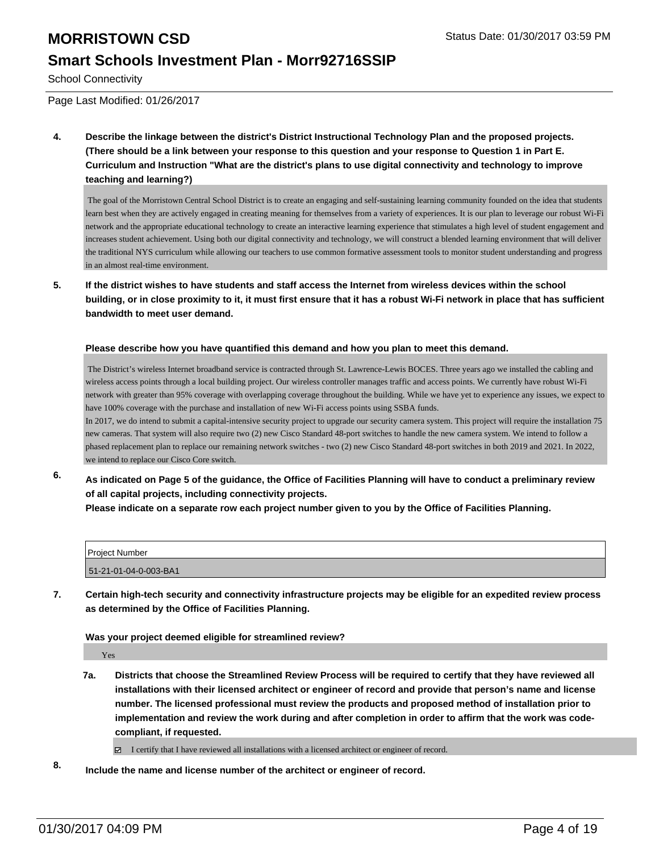School Connectivity

Page Last Modified: 01/26/2017

**4. Describe the linkage between the district's District Instructional Technology Plan and the proposed projects. (There should be a link between your response to this question and your response to Question 1 in Part E. Curriculum and Instruction "What are the district's plans to use digital connectivity and technology to improve teaching and learning?)**

 The goal of the Morristown Central School District is to create an engaging and self-sustaining learning community founded on the idea that students learn best when they are actively engaged in creating meaning for themselves from a variety of experiences. It is our plan to leverage our robust Wi-Fi network and the appropriate educational technology to create an interactive learning experience that stimulates a high level of student engagement and increases student achievement. Using both our digital connectivity and technology, we will construct a blended learning environment that will deliver the traditional NYS curriculum while allowing our teachers to use common formative assessment tools to monitor student understanding and progress in an almost real-time environment.

**5. If the district wishes to have students and staff access the Internet from wireless devices within the school building, or in close proximity to it, it must first ensure that it has a robust Wi-Fi network in place that has sufficient bandwidth to meet user demand.**

#### **Please describe how you have quantified this demand and how you plan to meet this demand.**

 The District's wireless Internet broadband service is contracted through St. Lawrence-Lewis BOCES. Three years ago we installed the cabling and wireless access points through a local building project. Our wireless controller manages traffic and access points. We currently have robust Wi-Fi network with greater than 95% coverage with overlapping coverage throughout the building. While we have yet to experience any issues, we expect to have 100% coverage with the purchase and installation of new Wi-Fi access points using SSBA funds.

In 2017, we do intend to submit a capital-intensive security project to upgrade our security camera system. This project will require the installation 75 new cameras. That system will also require two (2) new Cisco Standard 48-port switches to handle the new camera system. We intend to follow a phased replacement plan to replace our remaining network switches - two (2) new Cisco Standard 48-port switches in both 2019 and 2021. In 2022, we intend to replace our Cisco Core switch.

**6. As indicated on Page 5 of the guidance, the Office of Facilities Planning will have to conduct a preliminary review of all capital projects, including connectivity projects.**

**Please indicate on a separate row each project number given to you by the Office of Facilities Planning.**

| Project Number        |  |
|-----------------------|--|
| 51-21-01-04-0-003-BA1 |  |

**7. Certain high-tech security and connectivity infrastructure projects may be eligible for an expedited review process as determined by the Office of Facilities Planning.**

#### **Was your project deemed eligible for streamlined review?**

Yes

**7a. Districts that choose the Streamlined Review Process will be required to certify that they have reviewed all installations with their licensed architect or engineer of record and provide that person's name and license number. The licensed professional must review the products and proposed method of installation prior to implementation and review the work during and after completion in order to affirm that the work was codecompliant, if requested.**

I certify that I have reviewed all installations with a licensed architect or engineer of record.

**8. Include the name and license number of the architect or engineer of record.**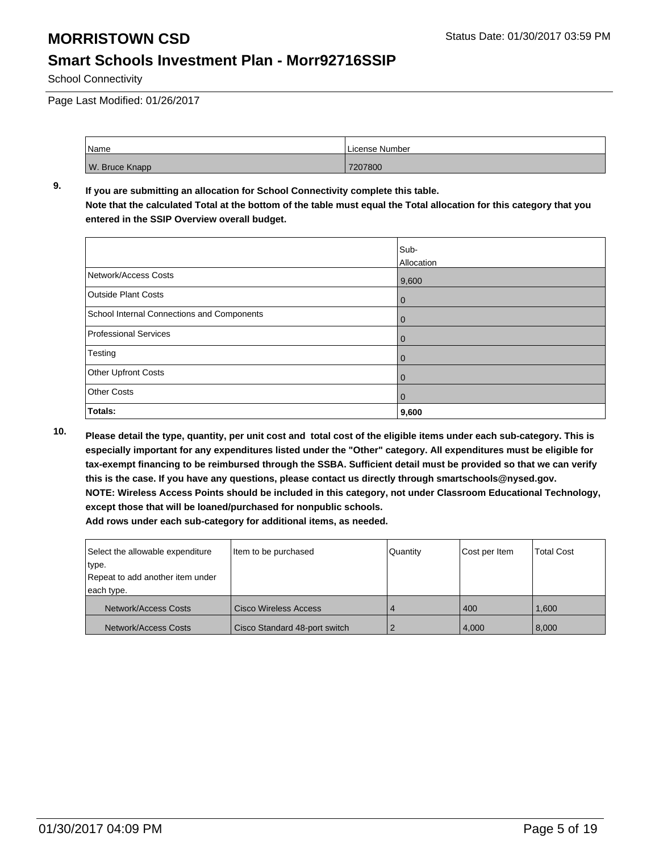School Connectivity

Page Last Modified: 01/26/2017

| Name           | License Number |
|----------------|----------------|
| W. Bruce Knapp | 7207800        |

#### **9. If you are submitting an allocation for School Connectivity complete this table. Note that the calculated Total at the bottom of the table must equal the Total allocation for this category that you entered in the SSIP Overview overall budget.**

|                                            | Sub-<br>Allocation |
|--------------------------------------------|--------------------|
| Network/Access Costs                       | 9,600              |
| <b>Outside Plant Costs</b>                 | $\bf{0}$           |
| School Internal Connections and Components | 0                  |
| <b>Professional Services</b>               | O                  |
| Testing                                    | 0                  |
| Other Upfront Costs                        | O                  |
| <b>Other Costs</b>                         | 0                  |
| Totals:                                    | 9,600              |

**10. Please detail the type, quantity, per unit cost and total cost of the eligible items under each sub-category. This is especially important for any expenditures listed under the "Other" category. All expenditures must be eligible for tax-exempt financing to be reimbursed through the SSBA. Sufficient detail must be provided so that we can verify this is the case. If you have any questions, please contact us directly through smartschools@nysed.gov. NOTE: Wireless Access Points should be included in this category, not under Classroom Educational Technology, except those that will be loaned/purchased for nonpublic schools.**

| Select the allowable expenditure<br>type.      | Item to be purchased          | Quantity | Cost per Item | <b>Total Cost</b> |
|------------------------------------------------|-------------------------------|----------|---------------|-------------------|
| Repeat to add another item under<br>each type. |                               |          |               |                   |
| Network/Access Costs                           | Cisco Wireless Access         |          | 400           | 1.600             |
| Network/Access Costs                           | Cisco Standard 48-port switch |          | 4,000         | 8,000             |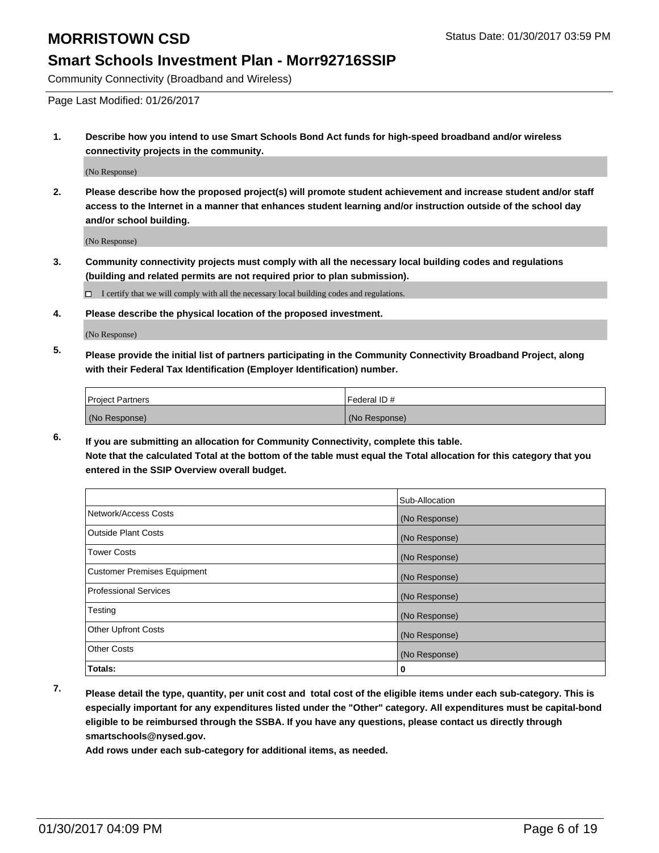#### **Smart Schools Investment Plan - Morr92716SSIP**

Community Connectivity (Broadband and Wireless)

Page Last Modified: 01/26/2017

**1. Describe how you intend to use Smart Schools Bond Act funds for high-speed broadband and/or wireless connectivity projects in the community.**

(No Response)

**2. Please describe how the proposed project(s) will promote student achievement and increase student and/or staff access to the Internet in a manner that enhances student learning and/or instruction outside of the school day and/or school building.**

(No Response)

**3. Community connectivity projects must comply with all the necessary local building codes and regulations (building and related permits are not required prior to plan submission).**

 $\Box$  I certify that we will comply with all the necessary local building codes and regulations.

**4. Please describe the physical location of the proposed investment.**

(No Response)

**5. Please provide the initial list of partners participating in the Community Connectivity Broadband Project, along with their Federal Tax Identification (Employer Identification) number.**

| <b>Project Partners</b> | Federal ID#   |
|-------------------------|---------------|
| (No Response)           | (No Response) |

**6. If you are submitting an allocation for Community Connectivity, complete this table. Note that the calculated Total at the bottom of the table must equal the Total allocation for this category that you entered in the SSIP Overview overall budget.**

|                                    | Sub-Allocation |
|------------------------------------|----------------|
| Network/Access Costs               | (No Response)  |
| <b>Outside Plant Costs</b>         | (No Response)  |
| <b>Tower Costs</b>                 | (No Response)  |
| <b>Customer Premises Equipment</b> | (No Response)  |
| <b>Professional Services</b>       | (No Response)  |
| Testing                            | (No Response)  |
| <b>Other Upfront Costs</b>         | (No Response)  |
| <b>Other Costs</b>                 | (No Response)  |
| Totals:                            | 0              |

**7. Please detail the type, quantity, per unit cost and total cost of the eligible items under each sub-category. This is especially important for any expenditures listed under the "Other" category. All expenditures must be capital-bond eligible to be reimbursed through the SSBA. If you have any questions, please contact us directly through smartschools@nysed.gov.**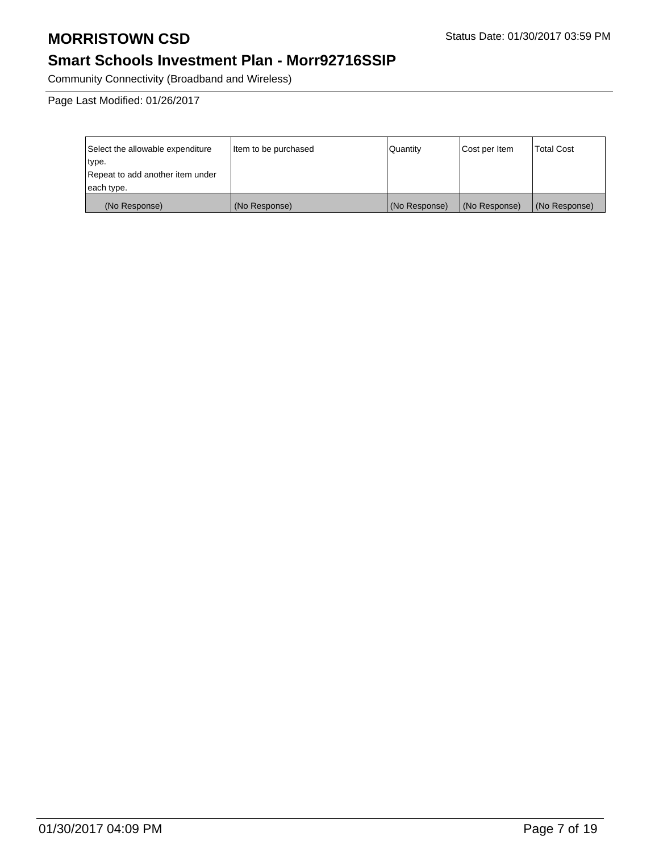## **Smart Schools Investment Plan - Morr92716SSIP**

Community Connectivity (Broadband and Wireless)

| Select the allowable expenditure | Item to be purchased | Quantity      | Cost per Item | Total Cost    |
|----------------------------------|----------------------|---------------|---------------|---------------|
| type.                            |                      |               |               |               |
| Repeat to add another item under |                      |               |               |               |
| each type.                       |                      |               |               |               |
| (No Response)                    | (No Response)        | (No Response) | (No Response) | (No Response) |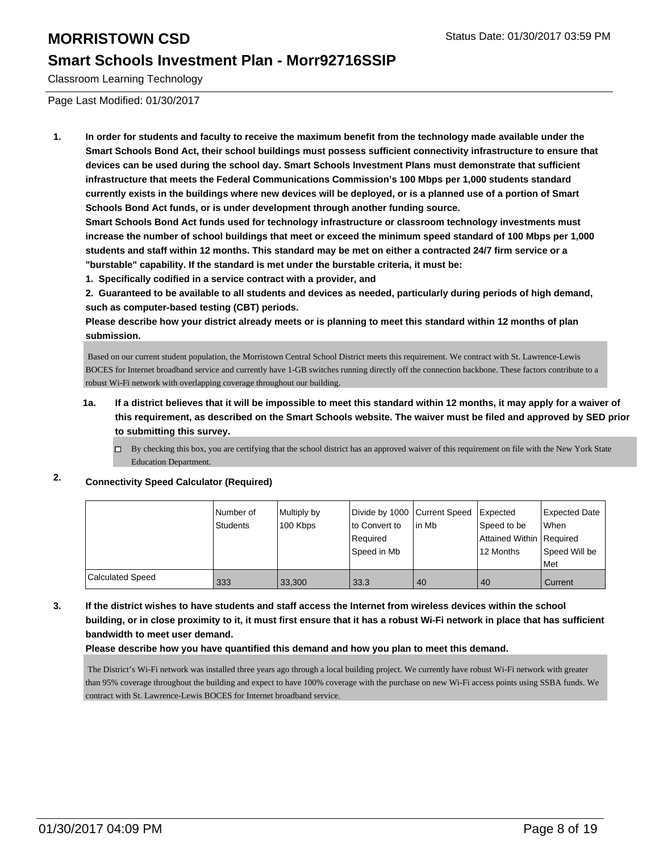## **Smart Schools Investment Plan - Morr92716SSIP**

Classroom Learning Technology

Page Last Modified: 01/30/2017

**1. In order for students and faculty to receive the maximum benefit from the technology made available under the Smart Schools Bond Act, their school buildings must possess sufficient connectivity infrastructure to ensure that devices can be used during the school day. Smart Schools Investment Plans must demonstrate that sufficient infrastructure that meets the Federal Communications Commission's 100 Mbps per 1,000 students standard currently exists in the buildings where new devices will be deployed, or is a planned use of a portion of Smart Schools Bond Act funds, or is under development through another funding source.**

**Smart Schools Bond Act funds used for technology infrastructure or classroom technology investments must increase the number of school buildings that meet or exceed the minimum speed standard of 100 Mbps per 1,000 students and staff within 12 months. This standard may be met on either a contracted 24/7 firm service or a "burstable" capability. If the standard is met under the burstable criteria, it must be:**

**1. Specifically codified in a service contract with a provider, and**

**2. Guaranteed to be available to all students and devices as needed, particularly during periods of high demand, such as computer-based testing (CBT) periods.**

**Please describe how your district already meets or is planning to meet this standard within 12 months of plan submission.**

 Based on our current student population, the Morristown Central School District meets this requirement. We contract with St. Lawrence-Lewis BOCES for Internet broadband service and currently have 1-GB switches running directly off the connection backbone. These factors contribute to a robust Wi-Fi network with overlapping coverage throughout our building.

- **1a. If a district believes that it will be impossible to meet this standard within 12 months, it may apply for a waiver of this requirement, as described on the Smart Schools website. The waiver must be filed and approved by SED prior to submitting this survey.**
	- $\Box$  By checking this box, you are certifying that the school district has an approved waiver of this requirement on file with the New York State Education Department.

#### **2. Connectivity Speed Calculator (Required)**

|                  | Number of<br><b>Students</b> | Multiply by | Divide by 1000 Current Speed<br>lto Convert to | lin Mb | Expected                                  | <b>Expected Date</b><br>l When |
|------------------|------------------------------|-------------|------------------------------------------------|--------|-------------------------------------------|--------------------------------|
|                  |                              | 100 Kbps    | Required                                       |        | Speed to be<br>Attained Within   Required |                                |
|                  |                              |             | Speed in Mb                                    |        | 12 Months                                 | Speed Will be<br>Met           |
| Calculated Speed | 333                          | 33.300      | 33.3                                           | 40     | 40                                        | Current                        |

**3. If the district wishes to have students and staff access the Internet from wireless devices within the school building, or in close proximity to it, it must first ensure that it has a robust Wi-Fi network in place that has sufficient bandwidth to meet user demand.**

#### **Please describe how you have quantified this demand and how you plan to meet this demand.**

 The District's Wi-Fi network was installed three years ago through a local building project. We currently have robust Wi-Fi network with greater than 95% coverage throughout the building and expect to have 100% coverage with the purchase on new Wi-Fi access points using SSBA funds. We contract with St. Lawrence-Lewis BOCES for Internet broadband service.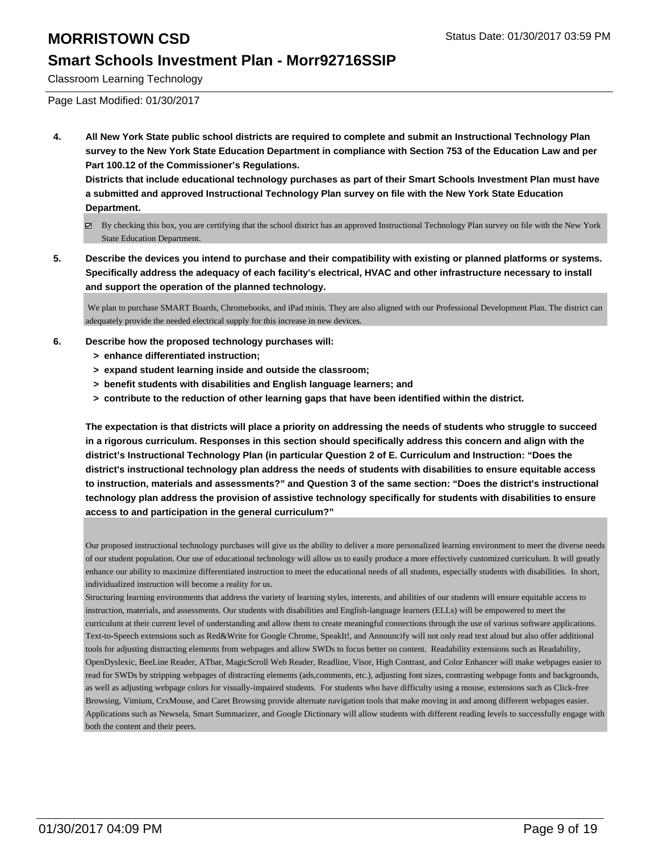## **Smart Schools Investment Plan - Morr92716SSIP**

Classroom Learning Technology

Page Last Modified: 01/30/2017

**4. All New York State public school districts are required to complete and submit an Instructional Technology Plan survey to the New York State Education Department in compliance with Section 753 of the Education Law and per Part 100.12 of the Commissioner's Regulations.**

**Districts that include educational technology purchases as part of their Smart Schools Investment Plan must have a submitted and approved Instructional Technology Plan survey on file with the New York State Education Department.**

- By checking this box, you are certifying that the school district has an approved Instructional Technology Plan survey on file with the New York State Education Department.
- **5. Describe the devices you intend to purchase and their compatibility with existing or planned platforms or systems. Specifically address the adequacy of each facility's electrical, HVAC and other infrastructure necessary to install and support the operation of the planned technology.**

 We plan to purchase SMART Boards, Chromebooks, and iPad minis. They are also aligned with our Professional Development Plan. The district can adequately provide the needed electrical supply for this increase in new devices.

- **6. Describe how the proposed technology purchases will:**
	- **> enhance differentiated instruction;**
	- **> expand student learning inside and outside the classroom;**
	- **> benefit students with disabilities and English language learners; and**
	- **> contribute to the reduction of other learning gaps that have been identified within the district.**

**The expectation is that districts will place a priority on addressing the needs of students who struggle to succeed in a rigorous curriculum. Responses in this section should specifically address this concern and align with the district's Instructional Technology Plan (in particular Question 2 of E. Curriculum and Instruction: "Does the district's instructional technology plan address the needs of students with disabilities to ensure equitable access to instruction, materials and assessments?" and Question 3 of the same section: "Does the district's instructional technology plan address the provision of assistive technology specifically for students with disabilities to ensure access to and participation in the general curriculum?"**

Our proposed instructional technology purchases will give us the ability to deliver a more personalized learning environment to meet the diverse needs of our student population. Our use of educational technology will allow us to easily produce a more effectively customized curriculum. It will greatly enhance our ability to maximize differentiated instruction to meet the educational needs of all students, especially students with disabilities. In short, individualized instruction will become a reality for us.

Structuring learning environments that address the variety of learning styles, interests, and abilities of our students will ensure equitable access to instruction, materials, and assessments. Our students with disabilities and English-language learners (ELLs) will be empowered to meet the curriculum at their current level of understanding and allow them to create meaningful connections through the use of various software applications. Text-to-Speech extensions such as Red&Write for Google Chrome, SpeakIt!, and Announcify will not only read text aloud but also offer additional tools for adjusting distracting elements from webpages and allow SWDs to focus better on content. Readability extensions such as Readability, OpenDyslexic, BeeLine Reader, ATbar, MagicScroll Web Reader, Readline, Visor, High Contrast, and Color Enhancer will make webpages easier to read for SWDs by stripping webpages of distracting elements (ads,comments, etc.), adjusting font sizes, contrasting webpage fonts and backgrounds, as well as adjusting webpage colors for visually-impaired students. For students who have difficulty using a mouse, extensions such as Click-free Browsing, Vimium, CrxMouse, and Caret Browsing provide alternate navigation tools that make moving in and among different webpages easier. Applications such as Newsela, Smart Summarizer, and Google Dictionary will allow students with different reading levels to successfully engage with both the content and their peers.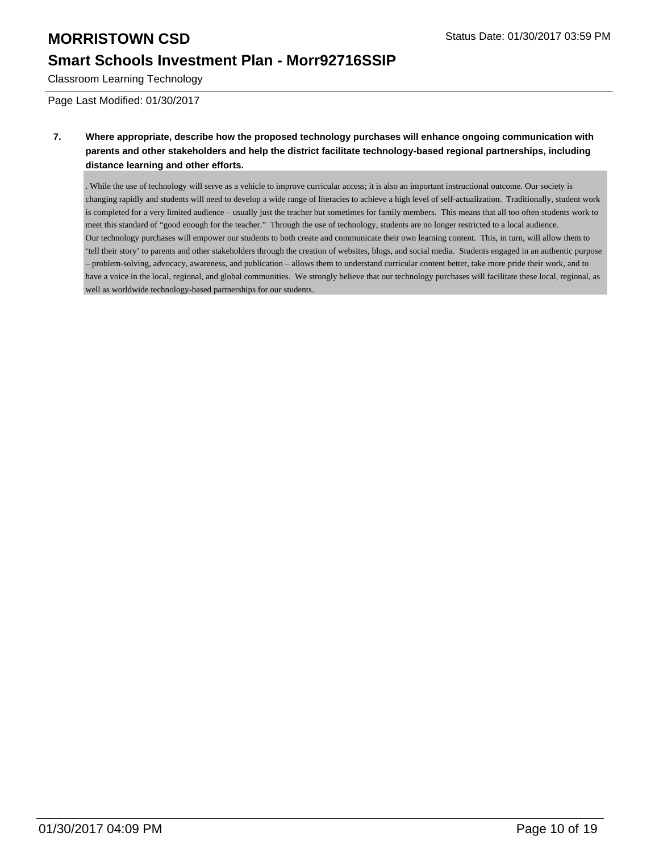## **Smart Schools Investment Plan - Morr92716SSIP**

Classroom Learning Technology

Page Last Modified: 01/30/2017

#### **7. Where appropriate, describe how the proposed technology purchases will enhance ongoing communication with parents and other stakeholders and help the district facilitate technology-based regional partnerships, including distance learning and other efforts.**

. While the use of technology will serve as a vehicle to improve curricular access; it is also an important instructional outcome. Our society is changing rapidly and students will need to develop a wide range of literacies to achieve a high level of self-actualization. Traditionally, student work is completed for a very limited audience – usually just the teacher but sometimes for family members. This means that all too often students work to meet this standard of "good enough for the teacher." Through the use of technology, students are no longer restricted to a local audience. Our technology purchases will empower our students to both create and communicate their own learning content. This, in turn, will allow them to 'tell their story' to parents and other stakeholders through the creation of websites, blogs, and social media. Students engaged in an authentic purpose – problem-solving, advocacy, awareness, and publication – allows them to understand curricular content better, take more pride their work, and to have a voice in the local, regional, and global communities. We strongly believe that our technology purchases will facilitate these local, regional, as well as worldwide technology-based partnerships for our students.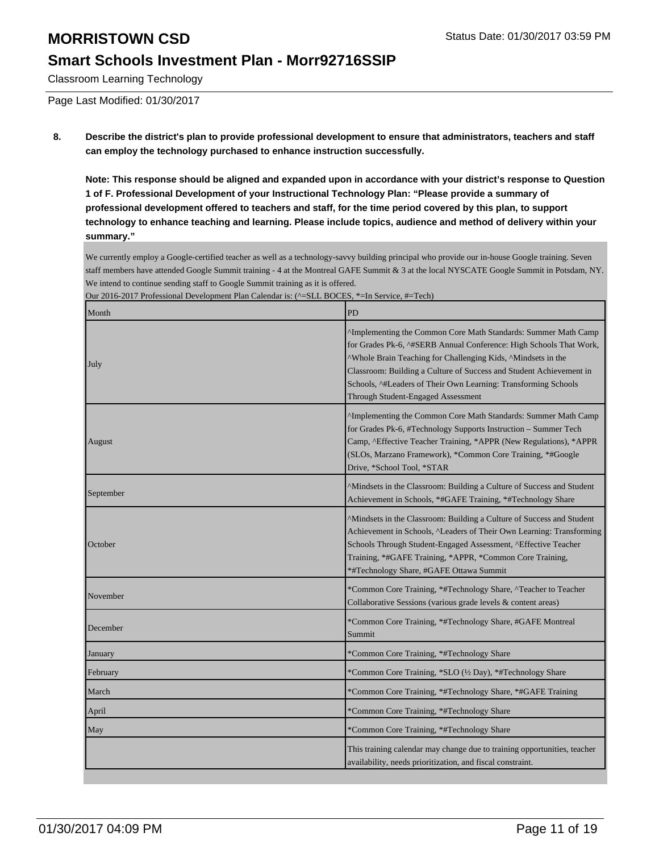## **Smart Schools Investment Plan - Morr92716SSIP**

Classroom Learning Technology

Page Last Modified: 01/30/2017

**8. Describe the district's plan to provide professional development to ensure that administrators, teachers and staff can employ the technology purchased to enhance instruction successfully.**

**Note: This response should be aligned and expanded upon in accordance with your district's response to Question 1 of F. Professional Development of your Instructional Technology Plan: "Please provide a summary of professional development offered to teachers and staff, for the time period covered by this plan, to support technology to enhance teaching and learning. Please include topics, audience and method of delivery within your summary."**

We currently employ a Google-certified teacher as well as a technology-savvy building principal who provide our in-house Google training. Seven staff members have attended Google Summit training - 4 at the Montreal GAFE Summit & 3 at the local NYSCATE Google Summit in Potsdam, NY. We intend to continue sending staff to Google Summit training as it is offered.

| Month     | PD                                                                                                                                                                                                                                                                                                                                                                                              |
|-----------|-------------------------------------------------------------------------------------------------------------------------------------------------------------------------------------------------------------------------------------------------------------------------------------------------------------------------------------------------------------------------------------------------|
| July      | <sup>^</sup> Implementing the Common Core Math Standards: Summer Math Camp<br>for Grades Pk-6, ^#SERB Annual Conference: High Schools That Work,<br>^Whole Brain Teaching for Challenging Kids, ^Mindsets in the<br>Classroom: Building a Culture of Success and Student Achievement in<br>Schools, ^#Leaders of Their Own Learning: Transforming Schools<br>Through Student-Engaged Assessment |
| August    | ^Implementing the Common Core Math Standards: Summer Math Camp<br>for Grades Pk-6, #Technology Supports Instruction - Summer Tech<br>Camp, ^Effective Teacher Training, *APPR (New Regulations), *APPR<br>(SLOs, Marzano Framework), *Common Core Training, *#Google<br>Drive, *School Tool, *STAR                                                                                              |
| September | <sup>A</sup> Mindsets in the Classroom: Building a Culture of Success and Student<br>Achievement in Schools, *#GAFE Training, *#Technology Share                                                                                                                                                                                                                                                |
| October   | ^Mindsets in the Classroom: Building a Culture of Success and Student<br>Achievement in Schools, <sup>^</sup> Leaders of Their Own Learning: Transforming<br>Schools Through Student-Engaged Assessment, ^Effective Teacher<br>Training, *#GAFE Training, *APPR, *Common Core Training,<br>*#Technology Share, #GAFE Ottawa Summit                                                              |
| November  | *Common Core Training, *#Technology Share, ^Teacher to Teacher<br>Collaborative Sessions (various grade levels & content areas)                                                                                                                                                                                                                                                                 |
| December  | *Common Core Training, *#Technology Share, #GAFE Montreal<br>Summit                                                                                                                                                                                                                                                                                                                             |
| January   | *Common Core Training, *#Technology Share                                                                                                                                                                                                                                                                                                                                                       |
| February  | *Common Core Training, *SLO (½ Day), *#Technology Share                                                                                                                                                                                                                                                                                                                                         |
| March     | *Common Core Training, *#Technology Share, *#GAFE Training                                                                                                                                                                                                                                                                                                                                      |
| April     | *Common Core Training, *#Technology Share                                                                                                                                                                                                                                                                                                                                                       |
| May       | *Common Core Training, *#Technology Share                                                                                                                                                                                                                                                                                                                                                       |
|           | This training calendar may change due to training opportunities, teacher<br>availability, needs prioritization, and fiscal constraint.                                                                                                                                                                                                                                                          |

Our 2016-2017 Professional Development Plan Calendar is: (^=SLL BOCES, \*=In Service, #=Tech)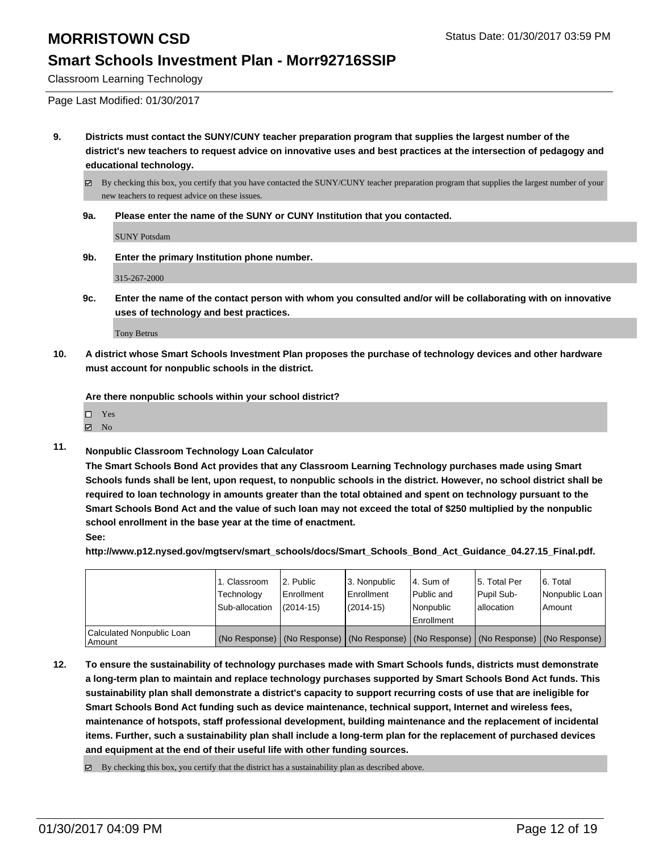Classroom Learning Technology

Page Last Modified: 01/30/2017

- **9. Districts must contact the SUNY/CUNY teacher preparation program that supplies the largest number of the district's new teachers to request advice on innovative uses and best practices at the intersection of pedagogy and educational technology.**
	- By checking this box, you certify that you have contacted the SUNY/CUNY teacher preparation program that supplies the largest number of your new teachers to request advice on these issues.
	- **9a. Please enter the name of the SUNY or CUNY Institution that you contacted.**

SUNY Potsdam

**9b. Enter the primary Institution phone number.**

315-267-2000

**9c. Enter the name of the contact person with whom you consulted and/or will be collaborating with on innovative uses of technology and best practices.**

Tony Betrus

**10. A district whose Smart Schools Investment Plan proposes the purchase of technology devices and other hardware must account for nonpublic schools in the district.**

**Are there nonpublic schools within your school district?**

Yes

- $\boxtimes$  No
- **11. Nonpublic Classroom Technology Loan Calculator**

**The Smart Schools Bond Act provides that any Classroom Learning Technology purchases made using Smart Schools funds shall be lent, upon request, to nonpublic schools in the district. However, no school district shall be required to loan technology in amounts greater than the total obtained and spent on technology pursuant to the Smart Schools Bond Act and the value of such loan may not exceed the total of \$250 multiplied by the nonpublic school enrollment in the base year at the time of enactment.**

**See:**

**http://www.p12.nysed.gov/mgtserv/smart\_schools/docs/Smart\_Schools\_Bond\_Act\_Guidance\_04.27.15\_Final.pdf.**

|                                       | 1. Classroom<br>Technology<br>Sub-allocation | 2. Public<br><b>Enrollment</b><br>$(2014-15)$ | 3. Nonpublic<br>Enrollment<br>$(2014-15)$ | 4. Sum of<br>Public and<br>Nonpublic<br><b>Enrollment</b>                                     | 5. Total Per<br>Pupil Sub-<br>lallocation | 6. Total<br>Nonpublic Loan<br>l Amount |
|---------------------------------------|----------------------------------------------|-----------------------------------------------|-------------------------------------------|-----------------------------------------------------------------------------------------------|-------------------------------------------|----------------------------------------|
| Calculated Nonpublic Loan<br>l Amount |                                              |                                               |                                           | (No Response)   (No Response)   (No Response)   (No Response)   (No Response)   (No Response) |                                           |                                        |

- **12. To ensure the sustainability of technology purchases made with Smart Schools funds, districts must demonstrate a long-term plan to maintain and replace technology purchases supported by Smart Schools Bond Act funds. This sustainability plan shall demonstrate a district's capacity to support recurring costs of use that are ineligible for Smart Schools Bond Act funding such as device maintenance, technical support, Internet and wireless fees, maintenance of hotspots, staff professional development, building maintenance and the replacement of incidental items. Further, such a sustainability plan shall include a long-term plan for the replacement of purchased devices and equipment at the end of their useful life with other funding sources.**
	- $\boxtimes$  By checking this box, you certify that the district has a sustainability plan as described above.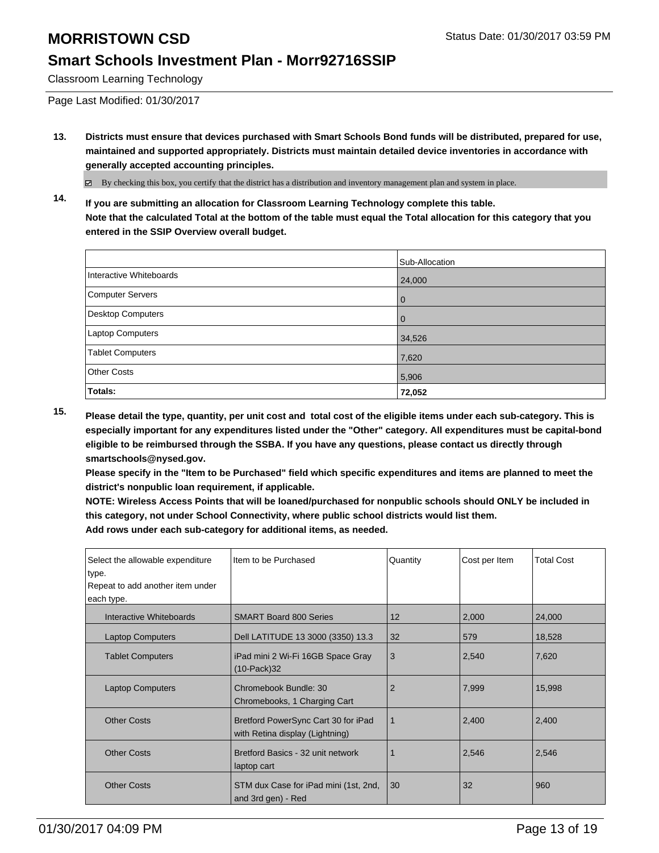Classroom Learning Technology

Page Last Modified: 01/30/2017

**13. Districts must ensure that devices purchased with Smart Schools Bond funds will be distributed, prepared for use, maintained and supported appropriately. Districts must maintain detailed device inventories in accordance with generally accepted accounting principles.**

By checking this box, you certify that the district has a distribution and inventory management plan and system in place.

**14. If you are submitting an allocation for Classroom Learning Technology complete this table. Note that the calculated Total at the bottom of the table must equal the Total allocation for this category that you entered in the SSIP Overview overall budget.**

|                          | Sub-Allocation |
|--------------------------|----------------|
| Interactive Whiteboards  | 24,000         |
| Computer Servers         | $\Omega$       |
| <b>Desktop Computers</b> | $\Omega$       |
| Laptop Computers         | 34,526         |
| <b>Tablet Computers</b>  | 7,620          |
| <b>Other Costs</b>       | 5,906          |
| Totals:                  | 72,052         |

**15. Please detail the type, quantity, per unit cost and total cost of the eligible items under each sub-category. This is especially important for any expenditures listed under the "Other" category. All expenditures must be capital-bond eligible to be reimbursed through the SSBA. If you have any questions, please contact us directly through smartschools@nysed.gov.**

**Please specify in the "Item to be Purchased" field which specific expenditures and items are planned to meet the district's nonpublic loan requirement, if applicable.**

**NOTE: Wireless Access Points that will be loaned/purchased for nonpublic schools should ONLY be included in this category, not under School Connectivity, where public school districts would list them. Add rows under each sub-category for additional items, as needed.**

| Select the allowable expenditure<br>type. | Item to be Purchased                                                   | Quantity       | Cost per Item | <b>Total Cost</b> |
|-------------------------------------------|------------------------------------------------------------------------|----------------|---------------|-------------------|
| Repeat to add another item under          |                                                                        |                |               |                   |
| each type.                                |                                                                        |                |               |                   |
| Interactive Whiteboards                   | <b>SMART Board 800 Series</b>                                          | 12             | 2,000         | 24,000            |
| <b>Laptop Computers</b>                   | Dell LATITUDE 13 3000 (3350) 13.3                                      | 32             | 579           | 18,528            |
| <b>Tablet Computers</b>                   | iPad mini 2 Wi-Fi 16GB Space Gray<br>$(10$ -Pack $)$ 32                | 3              | 2,540         | 7,620             |
| <b>Laptop Computers</b>                   | Chromebook Bundle: 30<br>Chromebooks, 1 Charging Cart                  | $\overline{2}$ | 7,999         | 15,998            |
| <b>Other Costs</b>                        | Bretford PowerSync Cart 30 for iPad<br>with Retina display (Lightning) | 1              | 2,400         | 2,400             |
| <b>Other Costs</b>                        | Bretford Basics - 32 unit network<br>laptop cart                       |                | 2,546         | 2,546             |
| <b>Other Costs</b>                        | STM dux Case for iPad mini (1st, 2nd,<br>and 3rd gen) - Red            | 30             | 32            | 960               |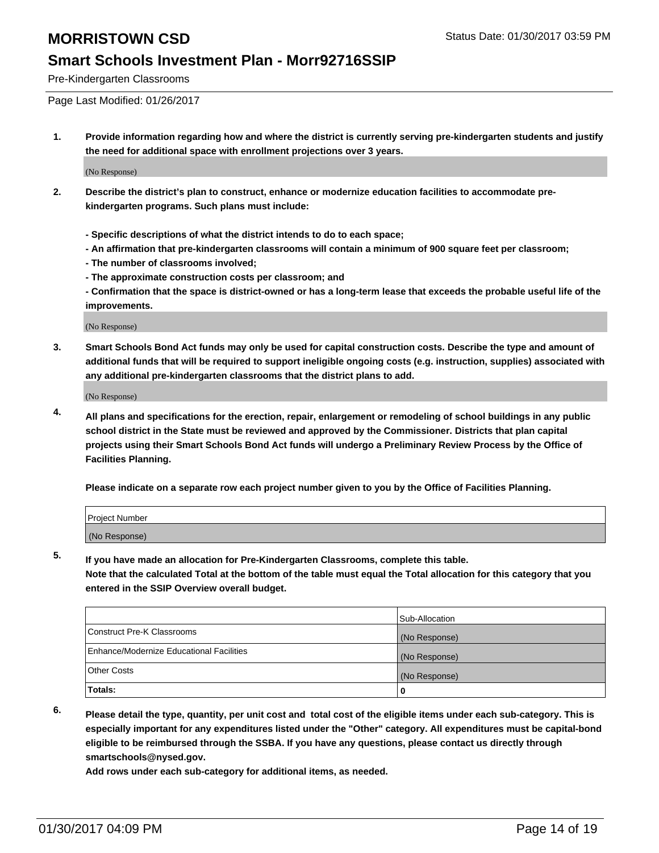Pre-Kindergarten Classrooms

Page Last Modified: 01/26/2017

**1. Provide information regarding how and where the district is currently serving pre-kindergarten students and justify the need for additional space with enrollment projections over 3 years.**

(No Response)

- **2. Describe the district's plan to construct, enhance or modernize education facilities to accommodate prekindergarten programs. Such plans must include:**
	- **Specific descriptions of what the district intends to do to each space;**
	- **An affirmation that pre-kindergarten classrooms will contain a minimum of 900 square feet per classroom;**
	- **The number of classrooms involved;**
	- **The approximate construction costs per classroom; and**
	- **Confirmation that the space is district-owned or has a long-term lease that exceeds the probable useful life of the improvements.**

(No Response)

**3. Smart Schools Bond Act funds may only be used for capital construction costs. Describe the type and amount of additional funds that will be required to support ineligible ongoing costs (e.g. instruction, supplies) associated with any additional pre-kindergarten classrooms that the district plans to add.**

(No Response)

**4. All plans and specifications for the erection, repair, enlargement or remodeling of school buildings in any public school district in the State must be reviewed and approved by the Commissioner. Districts that plan capital projects using their Smart Schools Bond Act funds will undergo a Preliminary Review Process by the Office of Facilities Planning.**

**Please indicate on a separate row each project number given to you by the Office of Facilities Planning.**

| Project Number |  |  |
|----------------|--|--|
| (No Response)  |  |  |

**5. If you have made an allocation for Pre-Kindergarten Classrooms, complete this table.**

**Note that the calculated Total at the bottom of the table must equal the Total allocation for this category that you entered in the SSIP Overview overall budget.**

|                                          | Sub-Allocation |
|------------------------------------------|----------------|
| Construct Pre-K Classrooms               | (No Response)  |
| Enhance/Modernize Educational Facilities | (No Response)  |
| Other Costs                              | (No Response)  |
| Totals:                                  |                |

**6. Please detail the type, quantity, per unit cost and total cost of the eligible items under each sub-category. This is especially important for any expenditures listed under the "Other" category. All expenditures must be capital-bond eligible to be reimbursed through the SSBA. If you have any questions, please contact us directly through smartschools@nysed.gov.**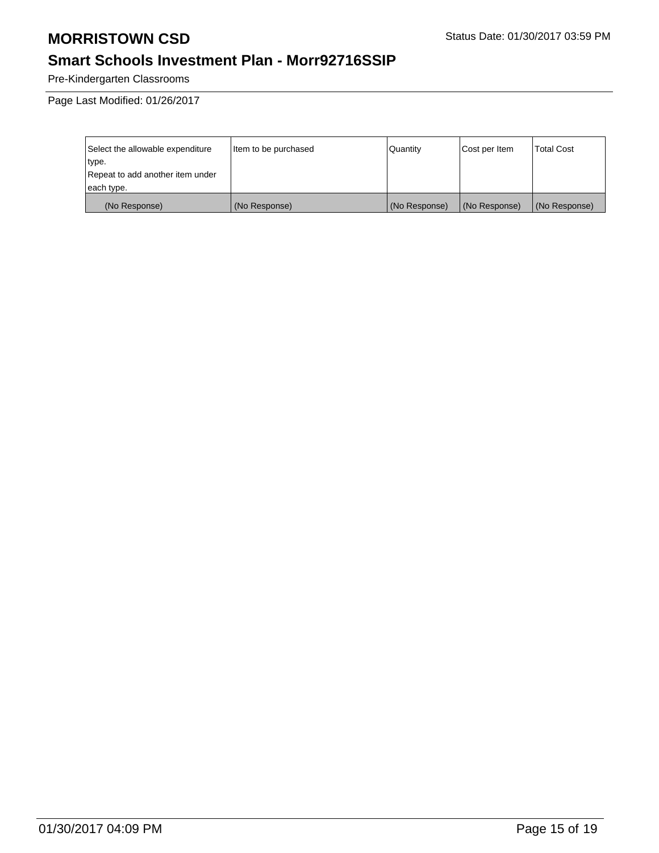# **Smart Schools Investment Plan - Morr92716SSIP**

Pre-Kindergarten Classrooms

| Select the allowable expenditure | litem to be purchased | Quantity      | Cost per Item | Total Cost    |
|----------------------------------|-----------------------|---------------|---------------|---------------|
| type.                            |                       |               |               |               |
| Repeat to add another item under |                       |               |               |               |
| each type.                       |                       |               |               |               |
| (No Response)                    | (No Response)         | (No Response) | (No Response) | (No Response) |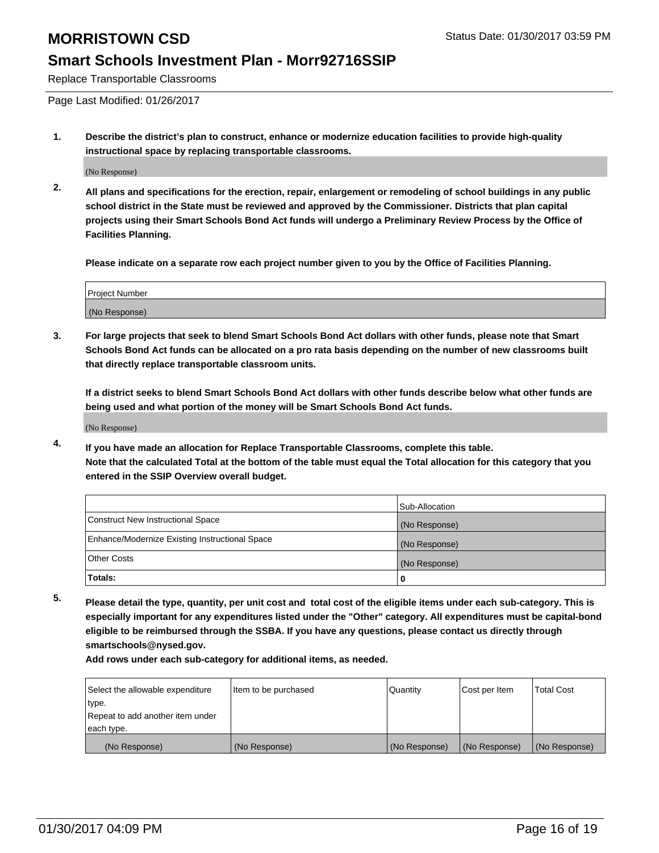#### **Smart Schools Investment Plan - Morr92716SSIP**

Replace Transportable Classrooms

Page Last Modified: 01/26/2017

**1. Describe the district's plan to construct, enhance or modernize education facilities to provide high-quality instructional space by replacing transportable classrooms.**

(No Response)

**2. All plans and specifications for the erection, repair, enlargement or remodeling of school buildings in any public school district in the State must be reviewed and approved by the Commissioner. Districts that plan capital projects using their Smart Schools Bond Act funds will undergo a Preliminary Review Process by the Office of Facilities Planning.**

**Please indicate on a separate row each project number given to you by the Office of Facilities Planning.**

| <b>Project Number</b> |  |
|-----------------------|--|
| (No Response)         |  |

**3. For large projects that seek to blend Smart Schools Bond Act dollars with other funds, please note that Smart Schools Bond Act funds can be allocated on a pro rata basis depending on the number of new classrooms built that directly replace transportable classroom units.**

**If a district seeks to blend Smart Schools Bond Act dollars with other funds describe below what other funds are being used and what portion of the money will be Smart Schools Bond Act funds.**

(No Response)

**4. If you have made an allocation for Replace Transportable Classrooms, complete this table. Note that the calculated Total at the bottom of the table must equal the Total allocation for this category that you entered in the SSIP Overview overall budget.**

|                                                | Sub-Allocation |
|------------------------------------------------|----------------|
| Construct New Instructional Space              | (No Response)  |
| Enhance/Modernize Existing Instructional Space | (No Response)  |
| <b>Other Costs</b>                             | (No Response)  |
| Totals:                                        |                |

**5. Please detail the type, quantity, per unit cost and total cost of the eligible items under each sub-category. This is especially important for any expenditures listed under the "Other" category. All expenditures must be capital-bond eligible to be reimbursed through the SSBA. If you have any questions, please contact us directly through smartschools@nysed.gov.**

| Select the allowable expenditure | Item to be purchased | Quantity      | Cost per Item | <b>Total Cost</b> |
|----------------------------------|----------------------|---------------|---------------|-------------------|
| type.                            |                      |               |               |                   |
| Repeat to add another item under |                      |               |               |                   |
| each type.                       |                      |               |               |                   |
| (No Response)                    | (No Response)        | (No Response) | (No Response) | (No Response)     |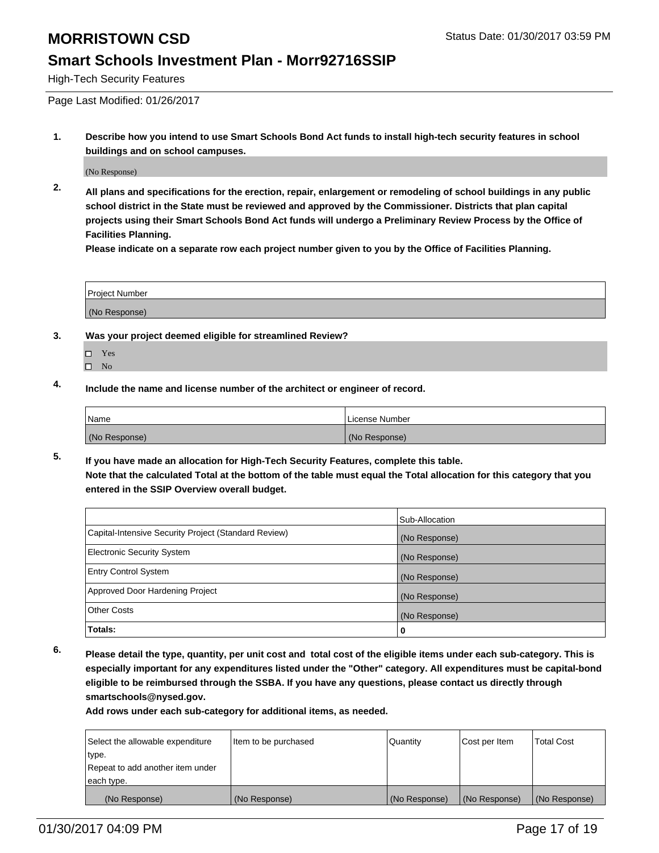#### **Smart Schools Investment Plan - Morr92716SSIP**

High-Tech Security Features

Page Last Modified: 01/26/2017

**1. Describe how you intend to use Smart Schools Bond Act funds to install high-tech security features in school buildings and on school campuses.**

(No Response)

**2. All plans and specifications for the erection, repair, enlargement or remodeling of school buildings in any public school district in the State must be reviewed and approved by the Commissioner. Districts that plan capital projects using their Smart Schools Bond Act funds will undergo a Preliminary Review Process by the Office of Facilities Planning.** 

**Please indicate on a separate row each project number given to you by the Office of Facilities Planning.**

| <b>Project Number</b> |  |
|-----------------------|--|
| (No Response)         |  |

- **3. Was your project deemed eligible for streamlined Review?**
	- □ Yes
	- $\square$  No
- **4. Include the name and license number of the architect or engineer of record.**

| 'Name         | License Number |
|---------------|----------------|
| (No Response) | (No Response)  |

**5. If you have made an allocation for High-Tech Security Features, complete this table. Note that the calculated Total at the bottom of the table must equal the Total allocation for this category that you entered in the SSIP Overview overall budget.**

|                                                      | Sub-Allocation |
|------------------------------------------------------|----------------|
| Capital-Intensive Security Project (Standard Review) | (No Response)  |
| <b>Electronic Security System</b>                    | (No Response)  |
| <b>Entry Control System</b>                          | (No Response)  |
| Approved Door Hardening Project                      | (No Response)  |
| <b>Other Costs</b>                                   | (No Response)  |
| Totals:                                              | 0              |

**6. Please detail the type, quantity, per unit cost and total cost of the eligible items under each sub-category. This is especially important for any expenditures listed under the "Other" category. All expenditures must be capital-bond eligible to be reimbursed through the SSBA. If you have any questions, please contact us directly through smartschools@nysed.gov.**

| Select the allowable expenditure | Item to be purchased | <b>Quantity</b> | Cost per Item | <b>Total Cost</b> |
|----------------------------------|----------------------|-----------------|---------------|-------------------|
| type.                            |                      |                 |               |                   |
| Repeat to add another item under |                      |                 |               |                   |
| each type.                       |                      |                 |               |                   |
| (No Response)                    | (No Response)        | (No Response)   | (No Response) | (No Response)     |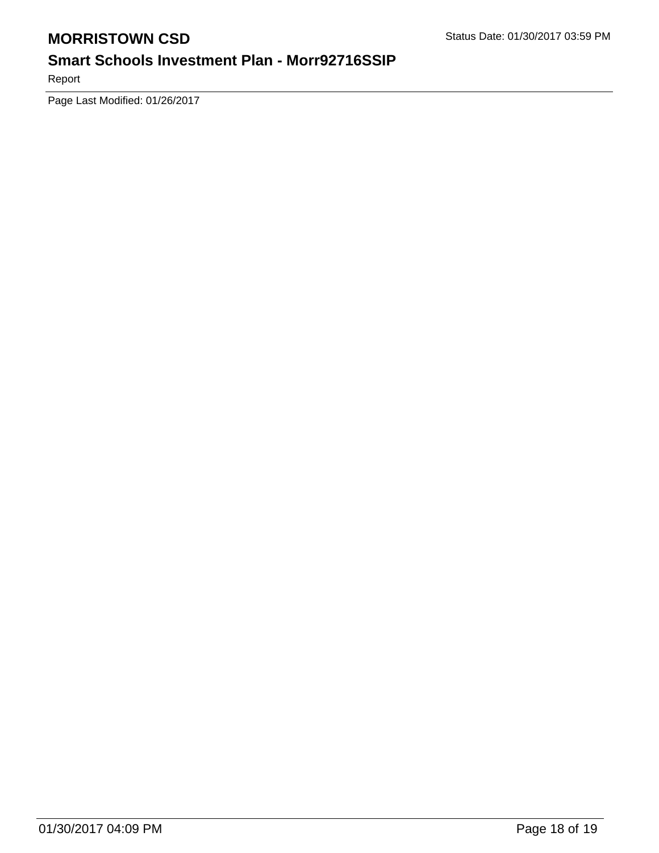## **Smart Schools Investment Plan - Morr92716SSIP**

Report